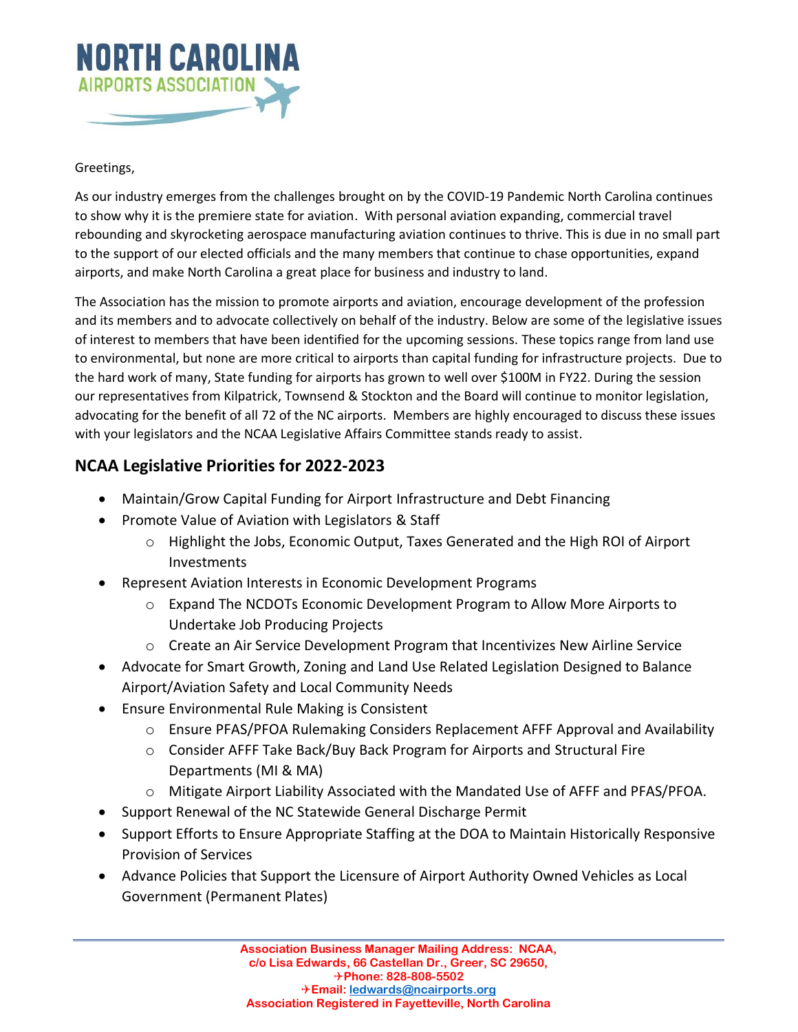

## Greetings,

As our industry emerges from the challenges brought on by the COVID-19 Pandemic North Carolina continues to show why it is the premiere state for aviation. With personal aviation expanding, commercial travel rebounding and skyrocketing aerospace manufacturing aviation continues to thrive. This is due in no small part to the support of our elected officials and the many members that continue to chase opportunities, expand airports, and make North Carolina a great place for business and industry to land.

The Association has the mission to promote airports and aviation, encourage development of the profession and its members and to advocate collectively on behalf of the industry. Below are some of the legislative issues of interest to members that have been identified for the upcoming sessions. These topics range from land use to environmental, but none are more critical to airports than capital funding for infrastructure projects. Due to the hard work of many, State funding for airports has grown to well over \$100M in FY22. During the session our representatives from Kilpatrick, Townsend & Stockton and the Board will continue to monitor legislation, advocating for the benefit of all 72 of the NC airports. Members are highly encouraged to discuss these issues with your legislators and the NCAA Legislative Affairs Committee stands ready to assist.

## **NCAA Legislative Priorities for 2022-2023**

- Maintain/Grow Capital Funding for Airport Infrastructure and Debt Financing
- Promote Value of Aviation with Legislators & Staff
	- o Highlight the Jobs, Economic Output, Taxes Generated and the High ROI of Airport Investments
- Represent Aviation Interests in Economic Development Programs
	- $\circ$  Expand The NCDOTs Economic Development Program to Allow More Airports to Undertake Job Producing Projects
	- $\circ$  Create an Air Service Development Program that Incentivizes New Airline Service
- Advocate for Smart Growth, Zoning and Land Use Related Legislation Designed to Balance Airport/Aviation Safety and Local Community Needs
- Ensure Environmental Rule Making is Consistent
	- o Ensure PFAS/PFOA Rulemaking Considers Replacement AFFF Approval and Availability
	- o Consider AFFF Take Back/Buy Back Program for Airports and Structural Fire Departments (MI & MA)
	- o Mitigate Airport Liability Associated with the Mandated Use of AFFF and PFAS/PFOA.
- Support Renewal of the NC Statewide General Discharge Permit
- Support Efforts to Ensure Appropriate Staffing at the DOA to Maintain Historically Responsive Provision of Services
- Advance Policies that Support the Licensure of Airport Authority Owned Vehicles as Local Government (Permanent Plates)